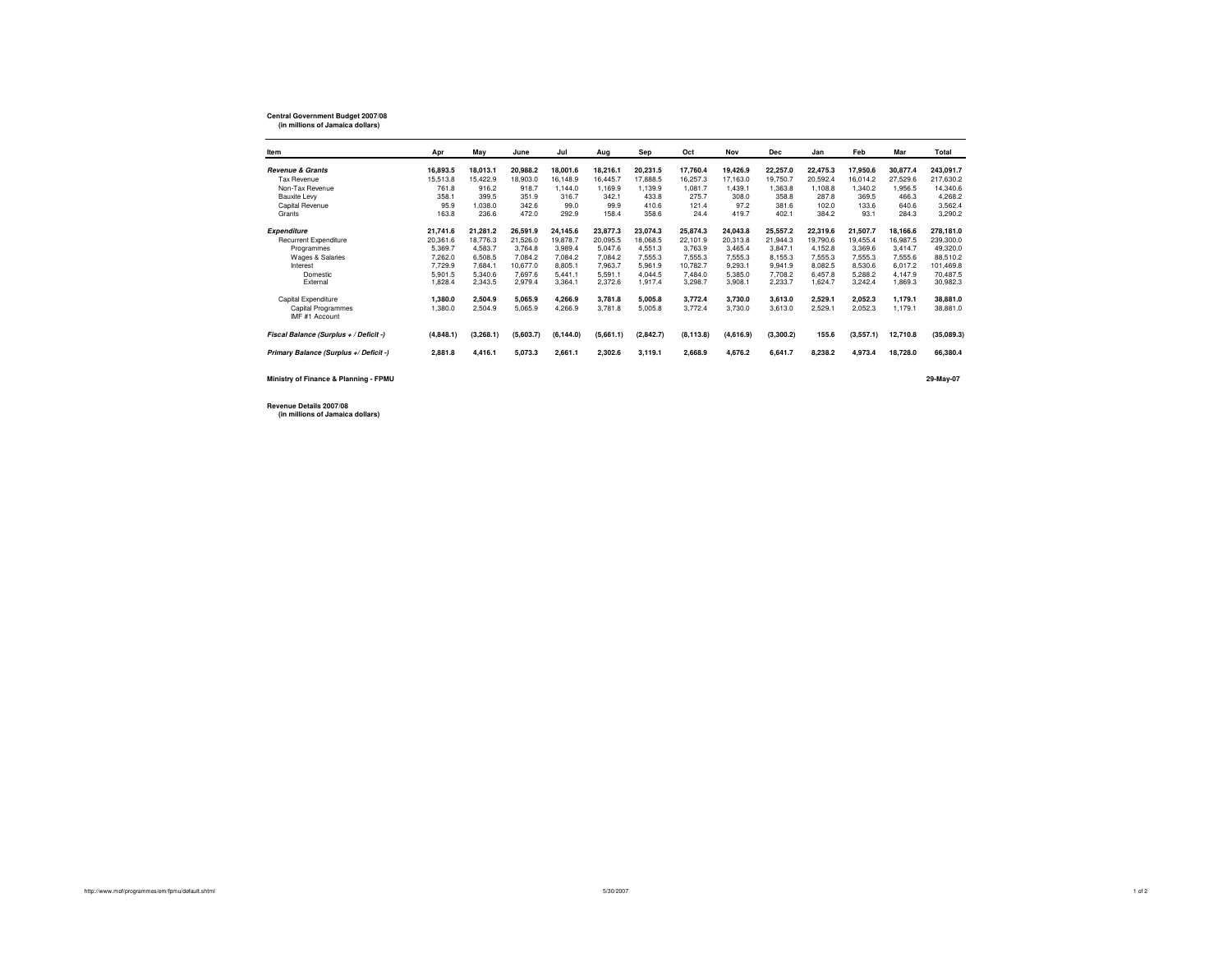## **Central Government Budget 2007/08 (in millions of Jamaica dollars)**

| Item                                   | Apr       | May       | June      | Jul        | Aug       | Sep       | Oct        | Nov       | <b>Dec</b> | Jan      | Feb       | Mar      | Total      |
|----------------------------------------|-----------|-----------|-----------|------------|-----------|-----------|------------|-----------|------------|----------|-----------|----------|------------|
| <b>Revenue &amp; Grants</b>            | 16.893.5  | 18.013.1  | 20.988.2  | 18.001.6   | 18.216.1  | 20.231.5  | 17,760.4   | 19.426.9  | 22.257.0   | 22.475.3 | 17.950.6  | 30.877.4 | 243.091.7  |
| Tax Revenue                            | 15.513.8  | 15.422.9  | 18,903.0  | 16.148.9   | 16,445.7  | 17,888.5  | 16.257.3   | 17.163.0  | 19.750.7   | 20.592.4 | 16.014.2  | 27.529.6 | 217.630.2  |
| Non-Tax Revenue                        | 761.8     | 916.2     | 918.7     | 1,144.0    | 1.169.9   | 1,139.9   | 1.081.7    | 1,439.1   | 1,363.8    | 1,108.8  | 1.340.2   | 1,956.5  | 14,340.6   |
| Bauxite Levy                           | 358.1     | 399.5     | 351.9     | 316.7      | 342.1     | 433.8     | 275.7      | 308.0     | 358.8      | 287.8    | 369.5     | 466.3    | 4.268.2    |
| Capital Revenue                        | 95.9      | 1.038.0   | 342.6     | 99.0       | 99.9      | 410.6     | 121.4      | 97.2      | 381.6      | 102.0    | 133.6     | 640.6    | 3,562.4    |
| Grants                                 | 163.8     | 236.6     | 472.0     | 292.9      | 158.4     | 358.6     | 24.4       | 419.7     | 402.1      | 384.2    | 93.1      | 284.3    | 3,290.2    |
| <b>Expenditure</b>                     | 21,741.6  | 21,281.2  | 26,591.9  | 24,145.6   | 23,877.3  | 23,074.3  | 25,874.3   | 24,043.8  | 25,557.2   | 22,319.6 | 21,507.7  | 18.166.6 | 278,181.0  |
| <b>Recurrent Expenditure</b>           | 20,361.6  | 18.776.3  | 21.526.0  | 19,878.7   | 20.095.5  | 18.068.5  | 22.101.9   | 20.313.8  | 21.944.3   | 19,790.6 | 19.455.4  | 16.987.5 | 239,300.0  |
| Programmes                             | 5,369.7   | 4.583.7   | 3.764.8   | 3.989.4    | 5.047.6   | 4.551.3   | 3.763.9    | 3.465.4   | 3.847.1    | 4.152.8  | 3.369.6   | 3.414.7  | 49.320.0   |
| Wages & Salaries                       | 7.262.0   | 6.508.5   | 7.084.2   | 7.084.2    | 7.084.2   | 7.555.3   | 7.555.3    | 7,555.3   | 8.155.3    | 7.555.3  | 7.555.3   | 7.555.6  | 88.510.2   |
| Interest                               | 7,729.9   | 7.684.1   | 10.677.0  | 8,805.1    | 7.963.7   | 5.961.9   | 10.782.7   | 9,293.1   | 9,941.9    | 8,082.5  | 8,530.6   | 6.017.2  | 101,469.8  |
| Domestic                               | 5,901.5   | 5.340.6   | 7.697.6   | 5.441.1    | 5.591.1   | 4.044.5   | 7.484.0    | 5.385.0   | 7.708.2    | 6.457.8  | 5.288.2   | 4.147.9  | 70.487.5   |
| External                               | 1,828.4   | 2,343.5   | 2,979.4   | 3,364.1    | 2,372.6   | 1,917.4   | 3,298.7    | 3,908.1   | 2,233.7    | 1,624.7  | 3,242.4   | 1,869.3  | 30,982.3   |
| Capital Expenditure                    | 1,380.0   | 2.504.9   | 5.065.9   | 4.266.9    | 3.781.8   | 5.005.8   | 3.772.4    | 3.730.0   | 3.613.0    | 2.529.1  | 2.052.3   | 1.179.1  | 38,881.0   |
| <b>Capital Programmes</b>              | 1,380.0   | 2,504.9   | 5,065.9   | 4,266.9    | 3.781.8   | 5.005.8   | 3,772.4    | 3.730.0   | 3.613.0    | 2,529.1  | 2,052.3   | 1.179.1  | 38,881.0   |
| IMF #1 Account                         |           |           |           |            |           |           |            |           |            |          |           |          |            |
| Fiscal Balance (Surplus + / Deficit -) | (4,848.1) | (3,268.1) | (5,603.7) | (6, 144.0) | (5,661.1) | (2,842.7) | (8, 113.8) | (4,616.9) | (3,300.2)  | 155.6    | (3,557.1) | 12,710.8 | (35,089.3) |
| Primary Balance (Surplus +/ Deficit -) | 2,881.8   | 4,416.1   | 5,073.3   | 2,661.1    | 2,302.6   | 3,119.1   | 2,668.9    | 4,676.2   | 6,641.7    | 8,238.2  | 4,973.4   | 18,728.0 | 66,380.4   |
|                                        |           |           |           |            |           |           |            |           |            |          |           |          |            |

**Ministry of Finance & Planning - FPMU**

**29-May-07**

**Revenue Details 2007/08(in millions of Jamaica dollars)**